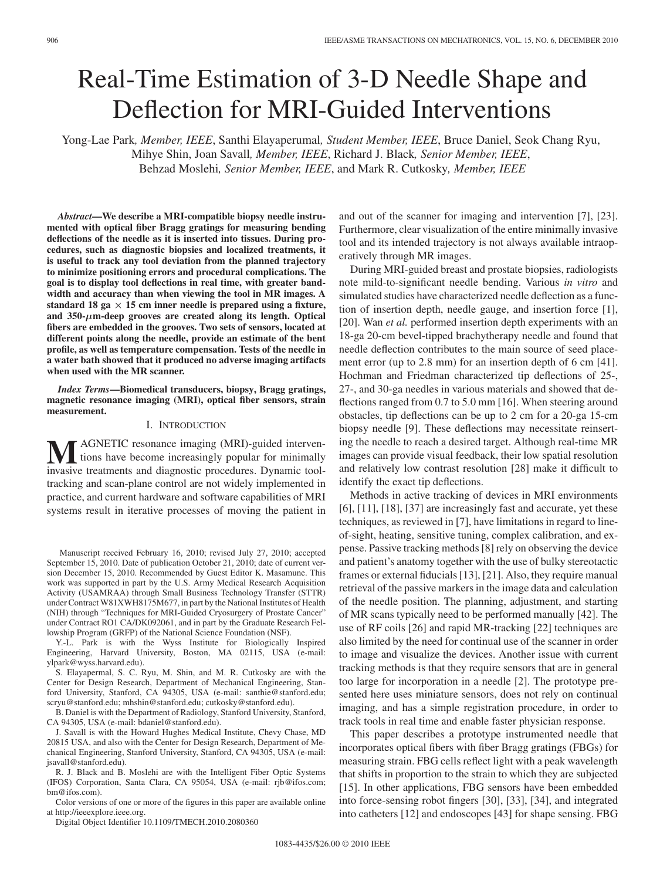# Real-Time Estimation of 3-D Needle Shape and Deflection for MRI-Guided Interventions

Yong-Lae Park*, Member, IEEE*, Santhi Elayaperumal*, Student Member, IEEE*, Bruce Daniel, Seok Chang Ryu, Mihye Shin, Joan Savall*, Member, IEEE*, Richard J. Black*, Senior Member, IEEE*, Behzad Moslehi*, Senior Member, IEEE*, and Mark R. Cutkosky*, Member, IEEE*

*Abstract***—We describe a MRI-compatible biopsy needle instrumented with optical fiber Bragg gratings for measuring bending deflections of the needle as it is inserted into tissues. During procedures, such as diagnostic biopsies and localized treatments, it is useful to track any tool deviation from the planned trajectory to minimize positioning errors and procedural complications. The goal is to display tool deflections in real time, with greater bandwidth and accuracy than when viewing the tool in MR images. A** standard 18 ga  $\times$  15 cm inner needle is prepared using a fixture, **and 350-***μ***m-deep grooves are created along its length. Optical fibers are embedded in the grooves. Two sets of sensors, located at different points along the needle, provide an estimate of the bent profile, as well as temperature compensation. Tests of the needle in a water bath showed that it produced no adverse imaging artifacts when used with the MR scanner.**

*Index Terms***—Biomedical transducers, biopsy, Bragg gratings, magnetic resonance imaging (MRI), optical fiber sensors, strain measurement.**

#### I. INTRODUCTION

**MAGNETIC** resonance imaging (MRI)-guided interventions have become increasingly popular for minimally investige treatments and diagnostic procedures. Dynamic tool invasive treatments and diagnostic procedures. Dynamic tooltracking and scan-plane control are not widely implemented in practice, and current hardware and software capabilities of MRI systems result in iterative processes of moving the patient in

Manuscript received February 16, 2010; revised July 27, 2010; accepted September 15, 2010. Date of publication October 21, 2010; date of current version December 15, 2010. Recommended by Guest Editor K. Masamune. This work was supported in part by the U.S. Army Medical Research Acquisition Activity (USAMRAA) through Small Business Technology Transfer (STTR) under Contract W81XWH8175M677, in part by the National Institutes of Health (NIH) through "Techniques for MRI-Guided Cryosurgery of Prostate Cancer" under Contract RO1 CA/DK092061, and in part by the Graduate Research Fellowship Program (GRFP) of the National Science Foundation (NSF).

Y.-L. Park is with the Wyss Institute for Biologically Inspired Engineering, Harvard University, Boston, MA 02115, USA (e-mail: ylpark@wyss.harvard.edu).

S. Elayapermal, S. C. Ryu, M. Shin, and M. R. Cutkosky are with the Center for Design Research, Department of Mechanical Engineering, Stanford University, Stanford, CA 94305, USA (e-mail: santhie@stanford.edu; scryu@stanford.edu; mhshin@stanford.edu; cutkosky@stanford.edu).

B. Daniel is with the Department of Radiology, Stanford University, Stanford, CA 94305, USA (e-mail: bdaniel@stanford.edu).

J. Savall is with the Howard Hughes Medical Institute, Chevy Chase, MD 20815 USA, and also with the Center for Design Research, Department of Mechanical Engineering, Stanford University, Stanford, CA 94305, USA (e-mail: jsavall@stanford.edu).

R. J. Black and B. Moslehi are with the Intelligent Fiber Optic Systems (IFOS) Corporation, Santa Clara, CA 95054, USA (e-mail: rjb@ifos.com; bm@ifos.com).

Color versions of one or more of the figures in this paper are available online at http://ieeexplore.ieee.org.

Digital Object Identifier 10.1109/TMECH.2010.2080360

and out of the scanner for imaging and intervention [7], [23]. Furthermore, clear visualization of the entire minimally invasive tool and its intended trajectory is not always available intraoperatively through MR images.

During MRI-guided breast and prostate biopsies, radiologists note mild-to-significant needle bending. Various *in vitro* and simulated studies have characterized needle deflection as a function of insertion depth, needle gauge, and insertion force [1], [20]. Wan *et al.* performed insertion depth experiments with an 18-ga 20-cm bevel-tipped brachytherapy needle and found that needle deflection contributes to the main source of seed placement error (up to 2.8 mm) for an insertion depth of 6 cm [41]. Hochman and Friedman characterized tip deflections of 25-, 27-, and 30-ga needles in various materials and showed that deflections ranged from 0.7 to 5.0 mm [16]. When steering around obstacles, tip deflections can be up to 2 cm for a 20-ga 15-cm biopsy needle [9]. These deflections may necessitate reinserting the needle to reach a desired target. Although real-time MR images can provide visual feedback, their low spatial resolution and relatively low contrast resolution [28] make it difficult to identify the exact tip deflections.

Methods in active tracking of devices in MRI environments  $[6]$ ,  $[11]$ ,  $[18]$ ,  $[37]$  are increasingly fast and accurate, yet these techniques, as reviewed in [7], have limitations in regard to lineof-sight, heating, sensitive tuning, complex calibration, and expense. Passive tracking methods [8] rely on observing the device and patient's anatomy together with the use of bulky stereotactic frames or external fiducials [13], [21]. Also, they require manual retrieval of the passive markers in the image data and calculation of the needle position. The planning, adjustment, and starting of MR scans typically need to be performed manually [42]. The use of RF coils [26] and rapid MR-tracking [22] techniques are also limited by the need for continual use of the scanner in order to image and visualize the devices. Another issue with current tracking methods is that they require sensors that are in general too large for incorporation in a needle [2]. The prototype presented here uses miniature sensors, does not rely on continual imaging, and has a simple registration procedure, in order to track tools in real time and enable faster physician response.

This paper describes a prototype instrumented needle that incorporates optical fibers with fiber Bragg gratings (FBGs) for measuring strain. FBG cells reflect light with a peak wavelength that shifts in proportion to the strain to which they are subjected [15]. In other applications, FBG sensors have been embedded into force-sensing robot fingers [30], [33], [34], and integrated into catheters [12] and endoscopes [43] for shape sensing. FBG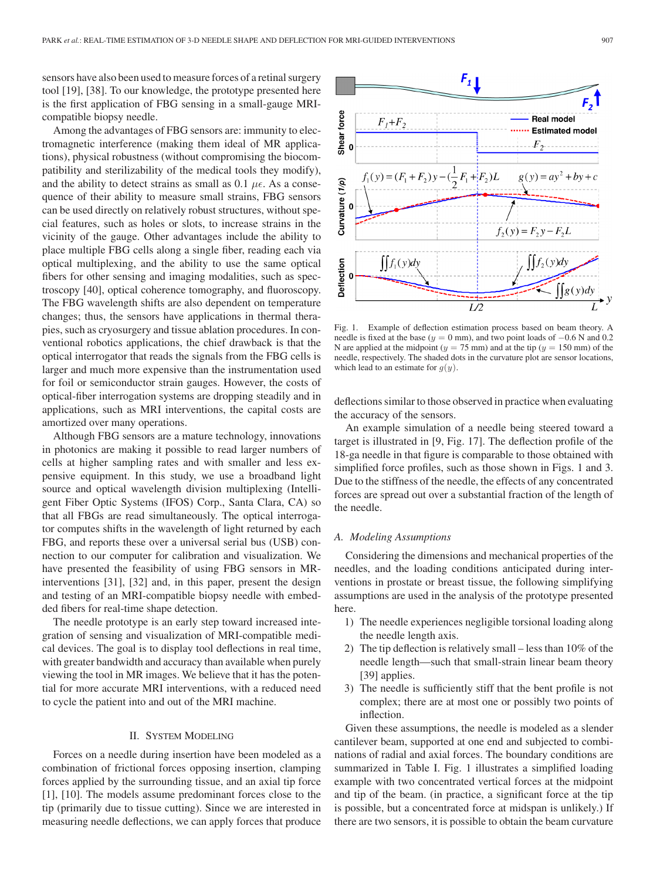sensors have also been used to measure forces of a retinal surgery tool [19], [38]. To our knowledge, the prototype presented here is the first application of FBG sensing in a small-gauge MRIcompatible biopsy needle.

Among the advantages of FBG sensors are: immunity to electromagnetic interference (making them ideal of MR applications), physical robustness (without compromising the biocompatibility and sterilizability of the medical tools they modify), and the ability to detect strains as small as 0.1  $\mu\epsilon$ . As a consequence of their ability to measure small strains, FBG sensors can be used directly on relatively robust structures, without special features, such as holes or slots, to increase strains in the vicinity of the gauge. Other advantages include the ability to place multiple FBG cells along a single fiber, reading each via optical multiplexing, and the ability to use the same optical fibers for other sensing and imaging modalities, such as spectroscopy [40], optical coherence tomography, and fluoroscopy. The FBG wavelength shifts are also dependent on temperature changes; thus, the sensors have applications in thermal therapies, such as cryosurgery and tissue ablation procedures. In conventional robotics applications, the chief drawback is that the optical interrogator that reads the signals from the FBG cells is larger and much more expensive than the instrumentation used for foil or semiconductor strain gauges. However, the costs of optical-fiber interrogation systems are dropping steadily and in applications, such as MRI interventions, the capital costs are amortized over many operations.

Although FBG sensors are a mature technology, innovations in photonics are making it possible to read larger numbers of cells at higher sampling rates and with smaller and less expensive equipment. In this study, we use a broadband light source and optical wavelength division multiplexing (Intelligent Fiber Optic Systems (IFOS) Corp., Santa Clara, CA) so that all FBGs are read simultaneously. The optical interrogator computes shifts in the wavelength of light returned by each FBG, and reports these over a universal serial bus (USB) connection to our computer for calibration and visualization. We have presented the feasibility of using FBG sensors in MRinterventions [31], [32] and, in this paper, present the design and testing of an MRI-compatible biopsy needle with embedded fibers for real-time shape detection.

The needle prototype is an early step toward increased integration of sensing and visualization of MRI-compatible medical devices. The goal is to display tool deflections in real time, with greater bandwidth and accuracy than available when purely viewing the tool in MR images. We believe that it has the potential for more accurate MRI interventions, with a reduced need to cycle the patient into and out of the MRI machine.

### II. SYSTEM MODELING

Forces on a needle during insertion have been modeled as a combination of frictional forces opposing insertion, clamping forces applied by the surrounding tissue, and an axial tip force [1], [10]. The models assume predominant forces close to the tip (primarily due to tissue cutting). Since we are interested in measuring needle deflections, we can apply forces that produce



Fig. 1. Example of deflection estimation process based on beam theory. A needle is fixed at the base ( $y = 0$  mm), and two point loads of  $-0.6$  N and 0.2 N are applied at the midpoint ( $y = 75$  mm) and at the tip ( $y = 150$  mm) of the needle, respectively. The shaded dots in the curvature plot are sensor locations, which lead to an estimate for  $g(y)$ .

deflections similar to those observed in practice when evaluating the accuracy of the sensors.

An example simulation of a needle being steered toward a target is illustrated in [9, Fig. 17]. The deflection profile of the 18-ga needle in that figure is comparable to those obtained with simplified force profiles, such as those shown in Figs. 1 and 3. Due to the stiffness of the needle, the effects of any concentrated forces are spread out over a substantial fraction of the length of the needle.

# *A. Modeling Assumptions*

Considering the dimensions and mechanical properties of the needles, and the loading conditions anticipated during interventions in prostate or breast tissue, the following simplifying assumptions are used in the analysis of the prototype presented here.

- 1) The needle experiences negligible torsional loading along the needle length axis.
- 2) The tip deflection is relatively small less than 10% of the needle length—such that small-strain linear beam theory [39] applies.
- 3) The needle is sufficiently stiff that the bent profile is not complex; there are at most one or possibly two points of inflection.

Given these assumptions, the needle is modeled as a slender cantilever beam, supported at one end and subjected to combinations of radial and axial forces. The boundary conditions are summarized in Table I. Fig. 1 illustrates a simplified loading example with two concentrated vertical forces at the midpoint and tip of the beam. (in practice, a significant force at the tip is possible, but a concentrated force at midspan is unlikely.) If there are two sensors, it is possible to obtain the beam curvature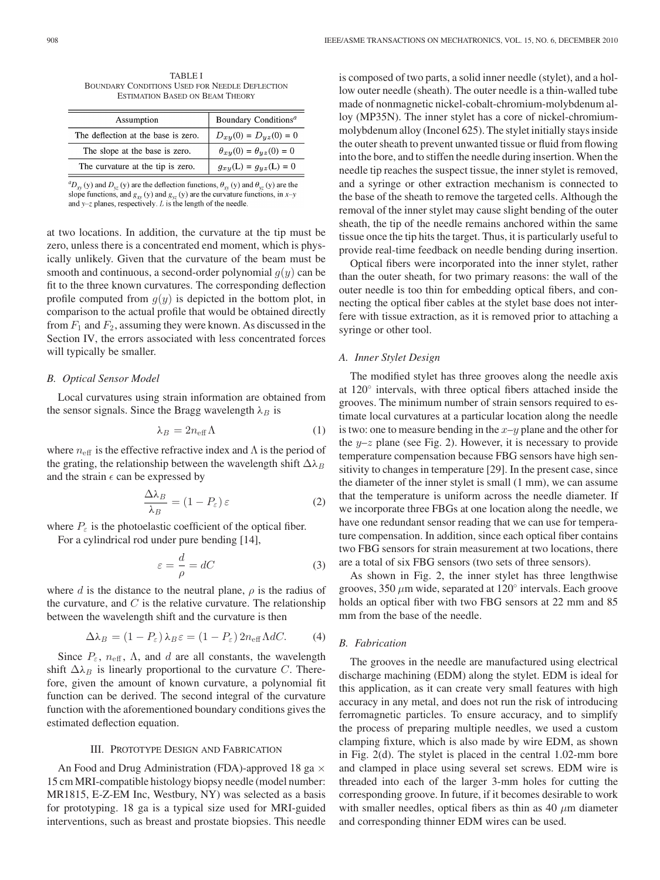| Assumption                          | Boundary Conditions <sup>a</sup>      |
|-------------------------------------|---------------------------------------|
| The deflection at the base is zero. | $D_{xy}(0) = D_{yz}(0) = 0$           |
| The slope at the base is zero.      | $\theta_{xy}(0) = \theta_{yz}(0) = 0$ |
| The curvature at the tip is zero.   | $g_{xy}(L) = g_{yz}(L) = 0$           |

TABLE I BOUNDARY CONDITIONS USED FOR NEEDLE DEFLECTION ESTIMATION BASED ON BEAM THEORY

 ${}^dD_{xy}(y)$  and  $D_{yz}(y)$  are the deflection functions,  $\theta_{xy}(y)$  and  $\theta_{yz}(y)$  are the slope functions, and  $g_{xy}(y)$  and  $g_{yz}(y)$  are the curvature functions, in x-y and y-z planes, respectively. L is the length of the needle.

at two locations. In addition, the curvature at the tip must be zero, unless there is a concentrated end moment, which is physically unlikely. Given that the curvature of the beam must be smooth and continuous, a second-order polynomial  $q(y)$  can be fit to the three known curvatures. The corresponding deflection profile computed from  $g(y)$  is depicted in the bottom plot, in comparison to the actual profile that would be obtained directly from  $F_1$  and  $F_2$ , assuming they were known. As discussed in the Section IV, the errors associated with less concentrated forces will typically be smaller.

## *B. Optical Sensor Model*

Local curvatures using strain information are obtained from the sensor signals. Since the Bragg wavelength  $\lambda_B$  is

$$
\lambda_B = 2n_{\text{eff}}\Lambda \tag{1}
$$

where  $n_{\text{eff}}$  is the effective refractive index and  $\Lambda$  is the period of the grating, the relationship between the wavelength shift  $\Delta\lambda_B$ and the strain  $\epsilon$  can be expressed by

$$
\frac{\Delta\lambda_B}{\lambda_B} = (1 - P_{\varepsilon})\,\varepsilon\tag{2}
$$

where  $P_{\varepsilon}$  is the photoelastic coefficient of the optical fiber.

For a cylindrical rod under pure bending [14],

$$
\varepsilon = \frac{d}{\rho} = dC \tag{3}
$$

where d is the distance to the neutral plane,  $\rho$  is the radius of the curvature, and  $C$  is the relative curvature. The relationship between the wavelength shift and the curvature is then

$$
\Delta \lambda_B = (1 - P_{\varepsilon}) \lambda_B \varepsilon = (1 - P_{\varepsilon}) 2n_{\text{eff}} \Lambda dC. \tag{4}
$$

Since  $P_{\varepsilon}$ ,  $n_{\text{eff}}$ ,  $\Lambda$ , and d are all constants, the wavelength shift  $\Delta\lambda_B$  is linearly proportional to the curvature C. Therefore, given the amount of known curvature, a polynomial fit function can be derived. The second integral of the curvature function with the aforementioned boundary conditions gives the estimated deflection equation.

#### III. PROTOTYPE DESIGN AND FABRICATION

An Food and Drug Administration (FDA)-approved 18 ga  $\times$ 15 cm MRI-compatible histology biopsy needle (model number: MR1815, E-Z-EM Inc, Westbury, NY) was selected as a basis for prototyping. 18 ga is a typical size used for MRI-guided interventions, such as breast and prostate biopsies. This needle is composed of two parts, a solid inner needle (stylet), and a hollow outer needle (sheath). The outer needle is a thin-walled tube made of nonmagnetic nickel-cobalt-chromium-molybdenum alloy (MP35N). The inner stylet has a core of nickel-chromiummolybdenum alloy (Inconel 625). The stylet initially stays inside the outer sheath to prevent unwanted tissue or fluid from flowing into the bore, and to stiffen the needle during insertion. When the needle tip reaches the suspect tissue, the inner stylet is removed, and a syringe or other extraction mechanism is connected to the base of the sheath to remove the targeted cells. Although the removal of the inner stylet may cause slight bending of the outer sheath, the tip of the needle remains anchored within the same tissue once the tip hits the target. Thus, it is particularly useful to provide real-time feedback on needle bending during insertion.

Optical fibers were incorporated into the inner stylet, rather than the outer sheath, for two primary reasons: the wall of the outer needle is too thin for embedding optical fibers, and connecting the optical fiber cables at the stylet base does not interfere with tissue extraction, as it is removed prior to attaching a syringe or other tool.

#### *A. Inner Stylet Design*

The modified stylet has three grooves along the needle axis at 120◦ intervals, with three optical fibers attached inside the grooves. The minimum number of strain sensors required to estimate local curvatures at a particular location along the needle is two: one to measure bending in the  $x-y$  plane and the other for the  $y-z$  plane (see Fig. 2). However, it is necessary to provide temperature compensation because FBG sensors have high sensitivity to changes in temperature [29]. In the present case, since the diameter of the inner stylet is small (1 mm), we can assume that the temperature is uniform across the needle diameter. If we incorporate three FBGs at one location along the needle, we have one redundant sensor reading that we can use for temperature compensation. In addition, since each optical fiber contains two FBG sensors for strain measurement at two locations, there are a total of six FBG sensors (two sets of three sensors).

As shown in Fig. 2, the inner stylet has three lengthwise grooves, 350  $\mu$ m wide, separated at 120 $^{\circ}$  intervals. Each groove holds an optical fiber with two FBG sensors at 22 mm and 85 mm from the base of the needle.

# *B. Fabrication*

The grooves in the needle are manufactured using electrical discharge machining (EDM) along the stylet. EDM is ideal for this application, as it can create very small features with high accuracy in any metal, and does not run the risk of introducing ferromagnetic particles. To ensure accuracy, and to simplify the process of preparing multiple needles, we used a custom clamping fixture, which is also made by wire EDM, as shown in Fig. 2(d). The stylet is placed in the central 1.02-mm bore and clamped in place using several set screws. EDM wire is threaded into each of the larger 3-mm holes for cutting the corresponding groove. In future, if it becomes desirable to work with smaller needles, optical fibers as thin as 40  $\mu$ m diameter and corresponding thinner EDM wires can be used.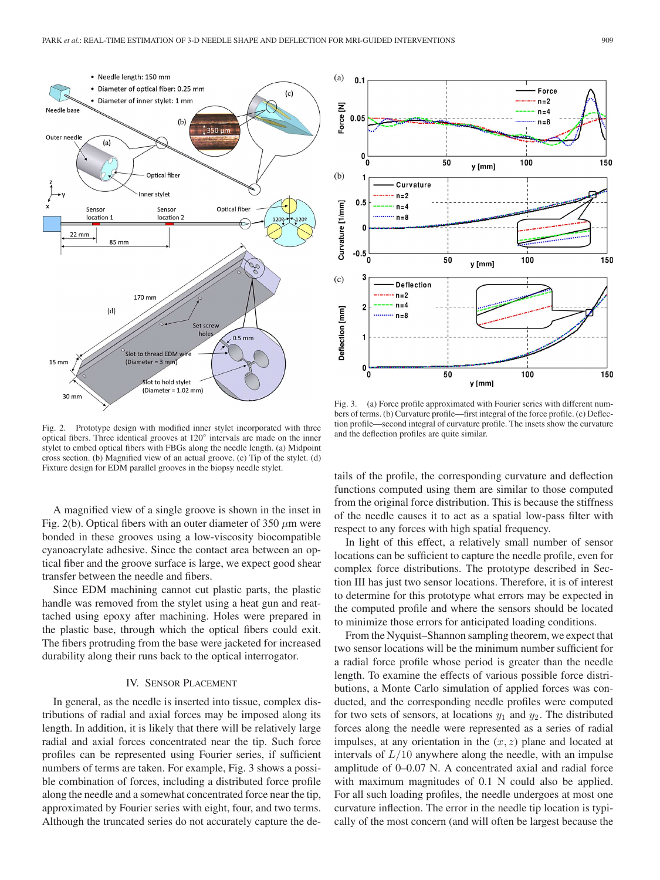

Fig. 2. Prototype design with modified inner stylet incorporated with three optical fibers. Three identical grooves at 120◦ intervals are made on the inner stylet to embed optical fibers with FBGs along the needle length. (a) Midpoint cross section. (b) Magnified view of an actual groove. (c) Tip of the stylet. (d) Fixture design for EDM parallel grooves in the biopsy needle stylet.

A magnified view of a single groove is shown in the inset in Fig. 2(b). Optical fibers with an outer diameter of 350  $\mu$ m were bonded in these grooves using a low-viscosity biocompatible cyanoacrylate adhesive. Since the contact area between an optical fiber and the groove surface is large, we expect good shear transfer between the needle and fibers.

Since EDM machining cannot cut plastic parts, the plastic handle was removed from the stylet using a heat gun and reattached using epoxy after machining. Holes were prepared in the plastic base, through which the optical fibers could exit. The fibers protruding from the base were jacketed for increased durability along their runs back to the optical interrogator.

# IV. SENSOR PLACEMENT

In general, as the needle is inserted into tissue, complex distributions of radial and axial forces may be imposed along its length. In addition, it is likely that there will be relatively large radial and axial forces concentrated near the tip. Such force profiles can be represented using Fourier series, if sufficient numbers of terms are taken. For example, Fig. 3 shows a possible combination of forces, including a distributed force profile along the needle and a somewhat concentrated force near the tip, approximated by Fourier series with eight, four, and two terms. Although the truncated series do not accurately capture the de-



Fig. 3. (a) Force profile approximated with Fourier series with different numbers of terms. (b) Curvature profile—first integral of the force profile. (c) Deflection profile—second integral of curvature profile. The insets show the curvature and the deflection profiles are quite similar.

tails of the profile, the corresponding curvature and deflection functions computed using them are similar to those computed from the original force distribution. This is because the stiffness of the needle causes it to act as a spatial low-pass filter with respect to any forces with high spatial frequency.

In light of this effect, a relatively small number of sensor locations can be sufficient to capture the needle profile, even for complex force distributions. The prototype described in Section III has just two sensor locations. Therefore, it is of interest to determine for this prototype what errors may be expected in the computed profile and where the sensors should be located to minimize those errors for anticipated loading conditions.

From the Nyquist–Shannon sampling theorem, we expect that two sensor locations will be the minimum number sufficient for a radial force profile whose period is greater than the needle length. To examine the effects of various possible force distributions, a Monte Carlo simulation of applied forces was conducted, and the corresponding needle profiles were computed for two sets of sensors, at locations  $y_1$  and  $y_2$ . The distributed forces along the needle were represented as a series of radial impulses, at any orientation in the  $(x, z)$  plane and located at intervals of  $L/10$  anywhere along the needle, with an impulse amplitude of 0–0.07 N. A concentrated axial and radial force with maximum magnitudes of 0.1 N could also be applied. For all such loading profiles, the needle undergoes at most one curvature inflection. The error in the needle tip location is typically of the most concern (and will often be largest because the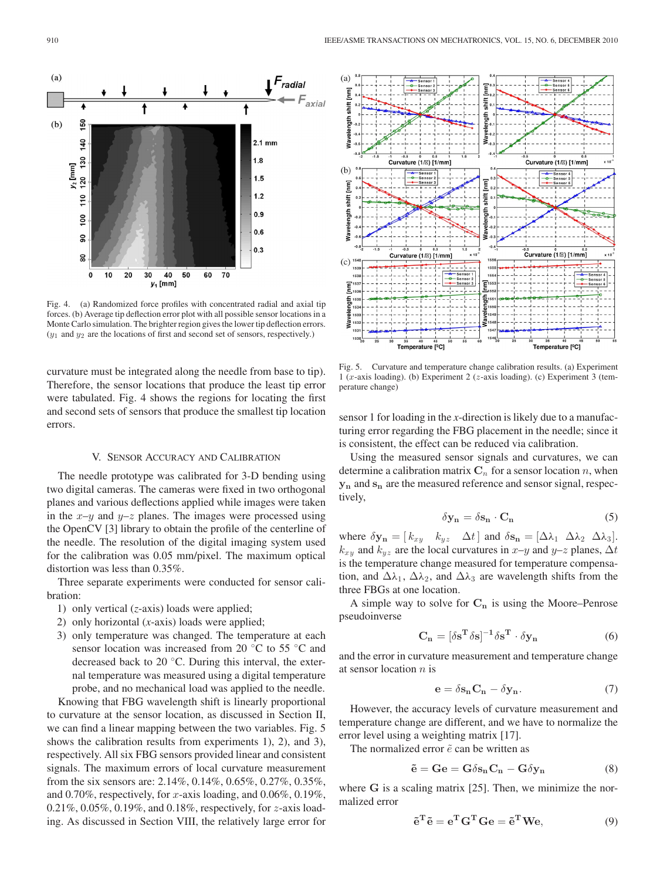

Fig. 4. (a) Randomized force profiles with concentrated radial and axial tip forces. (b) Average tip deflection error plot with all possible sensor locations in a Monte Carlo simulation. The brighter region gives the lower tip deflection errors.  $(y_1$  and  $y_2$  are the locations of first and second set of sensors, respectively.)

curvature must be integrated along the needle from base to tip). Therefore, the sensor locations that produce the least tip error were tabulated. Fig. 4 shows the regions for locating the first and second sets of sensors that produce the smallest tip location errors.

#### V. SENSOR ACCURACY AND CALIBRATION

The needle prototype was calibrated for 3-D bending using two digital cameras. The cameras were fixed in two orthogonal planes and various deflections applied while images were taken in the  $x-y$  and  $y-z$  planes. The images were processed using the OpenCV [3] library to obtain the profile of the centerline of the needle. The resolution of the digital imaging system used for the calibration was 0.05 mm/pixel. The maximum optical distortion was less than 0.35%.

Three separate experiments were conducted for sensor calibration:

- 1) only vertical (*z*-axis) loads were applied;
- 2) only horizontal (*x*-axis) loads were applied;
- 3) only temperature was changed. The temperature at each sensor location was increased from 20 ◦C to 55 ◦C and decreased back to 20 ◦C. During this interval, the external temperature was measured using a digital temperature probe, and no mechanical load was applied to the needle.

Knowing that FBG wavelength shift is linearly proportional to curvature at the sensor location, as discussed in Section II, we can find a linear mapping between the two variables. Fig. 5 shows the calibration results from experiments 1), 2), and 3), respectively. All six FBG sensors provided linear and consistent signals. The maximum errors of local curvature measurement from the six sensors are: 2.14%, 0.14%, 0.65%, 0.27%, 0.35%, and 0.70%, respectively, for x-axis loading, and 0.06%, 0.19%, 0.21%, 0.05%, 0.19%, and 0.18%, respectively, for z-axis loading. As discussed in Section VIII, the relatively large error for



Fig. 5. Curvature and temperature change calibration results. (a) Experiment 1 (x-axis loading). (b) Experiment 2 (z-axis loading). (c) Experiment 3 (temperature change)

sensor 1 for loading in the *x*-direction is likely due to a manufacturing error regarding the FBG placement in the needle; since it is consistent, the effect can be reduced via calibration.

Using the measured sensor signals and curvatures, we can determine a calibration matrix  $C_n$  for a sensor location n, when  $y_n$  and  $s_n$  are the measured reference and sensor signal, respectively,

$$
\delta \mathbf{y}_n = \delta \mathbf{s}_n \cdot \mathbf{C}_n \tag{5}
$$

where  $\delta \mathbf{y}_n = [k_{xy} \quad k_{yz} \quad \Delta t]$  and  $\delta \mathbf{s}_n = [\Delta \lambda_1 \quad \Delta \lambda_2 \quad \Delta \lambda_3]$ .  $k_{xy}$  and  $k_{yz}$  are the local curvatures in  $x-y$  and  $y-z$  planes,  $\Delta t$ is the temperature change measured for temperature compensation, and  $\Delta\lambda_1$ ,  $\Delta\lambda_2$ , and  $\Delta\lambda_3$  are wavelength shifts from the three FBGs at one location.

A simple way to solve for **Cn** is using the Moore–Penrose pseudoinverse

$$
\mathbf{C}_{\mathbf{n}} = [\delta \mathbf{s}^{\mathbf{T}} \delta \mathbf{s}]^{-1} \delta \mathbf{s}^{\mathbf{T}} \cdot \delta \mathbf{y}_{\mathbf{n}} \tag{6}
$$

and the error in curvature measurement and temperature change at sensor location  $n$  is

$$
\mathbf{e} = \delta \mathbf{s_n} \mathbf{C_n} - \delta \mathbf{y_n}.\tag{7}
$$

However, the accuracy levels of curvature measurement and temperature change are different, and we have to normalize the error level using a weighting matrix [17].

The normalized error  $\tilde{e}$  can be written as

$$
\tilde{\mathbf{e}} = \mathbf{G}\mathbf{e} = \mathbf{G}\delta \mathbf{s}_n \mathbf{C}_n - \mathbf{G}\delta \mathbf{y}_n \tag{8}
$$

where **G** is a scaling matrix [25]. Then, we minimize the normalized error

$$
\tilde{e}^T \tilde{e} = e^T G^T G e = \tilde{e}^T W e,
$$
\n(9)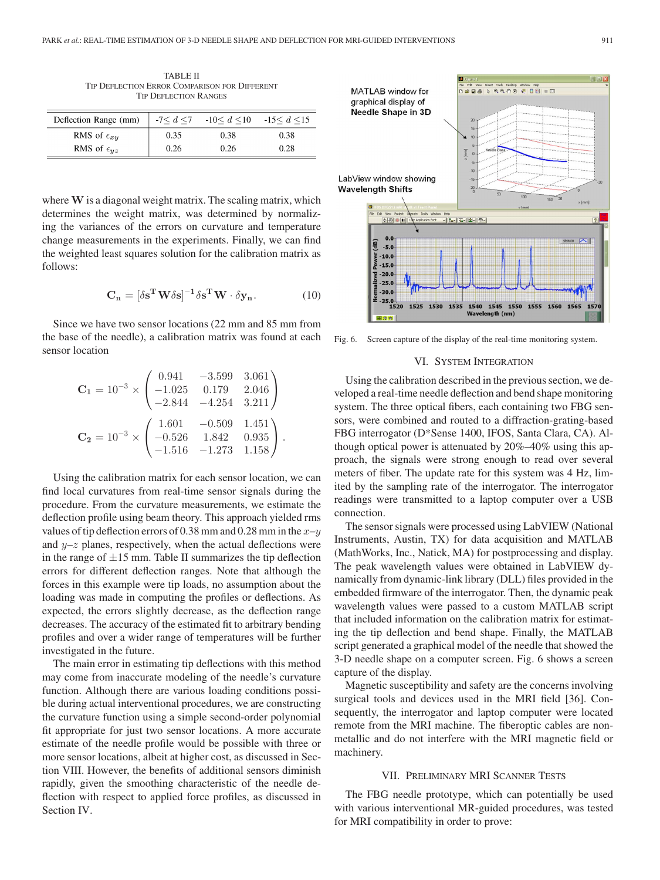TABLE II TIP DEFLECTION ERROR COMPARISON FOR DIFFERENT TIP DEFLECTION RANGES

| Deflection Range (mm)  | $-7 < d < 7$ | $-10 < d < 10$ $-15 < d < 15$ |      |
|------------------------|--------------|-------------------------------|------|
| RMS of $\epsilon_{xu}$ | 0.35         | 0.38                          | 0.38 |
| RMS of $\epsilon_{uz}$ | 0.26         | 0.26                          | 0.28 |

where **W** is a diagonal weight matrix. The scaling matrix, which determines the weight matrix, was determined by normalizing the variances of the errors on curvature and temperature change measurements in the experiments. Finally, we can find the weighted least squares solution for the calibration matrix as follows:

$$
\mathbf{C}_{\mathbf{n}} = [\delta \mathbf{s}^{\mathbf{T}} \mathbf{W} \delta \mathbf{s}]^{-1} \delta \mathbf{s}^{\mathbf{T}} \mathbf{W} \cdot \delta \mathbf{y}_{\mathbf{n}}.
$$
 (10)

Since we have two sensor locations (22 mm and 85 mm from the base of the needle), a calibration matrix was found at each sensor location

$$
\mathbf{C}_1 = 10^{-3} \times \begin{pmatrix} 0.941 & -3.599 & 3.061 \\ -1.025 & 0.179 & 2.046 \\ -2.844 & -4.254 & 3.211 \end{pmatrix}
$$

$$
\mathbf{C}_2 = 10^{-3} \times \begin{pmatrix} 1.601 & -0.509 & 1.451 \\ -0.526 & 1.842 & 0.935 \\ -1.516 & -1.273 & 1.158 \end{pmatrix}.
$$

Using the calibration matrix for each sensor location, we can find local curvatures from real-time sensor signals during the procedure. From the curvature measurements, we estimate the deflection profile using beam theory. This approach yielded rms values of tip deflection errors of 0.38 mm and 0.28 mm in the  $x-y$ and  $y-z$  planes, respectively, when the actual deflections were in the range of  $\pm 15$  mm. Table II summarizes the tip deflection errors for different deflection ranges. Note that although the forces in this example were tip loads, no assumption about the loading was made in computing the profiles or deflections. As expected, the errors slightly decrease, as the deflection range decreases. The accuracy of the estimated fit to arbitrary bending profiles and over a wider range of temperatures will be further investigated in the future.

The main error in estimating tip deflections with this method may come from inaccurate modeling of the needle's curvature function. Although there are various loading conditions possible during actual interventional procedures, we are constructing the curvature function using a simple second-order polynomial fit appropriate for just two sensor locations. A more accurate estimate of the needle profile would be possible with three or more sensor locations, albeit at higher cost, as discussed in Section VIII. However, the benefits of additional sensors diminish rapidly, given the smoothing characteristic of the needle deflection with respect to applied force profiles, as discussed in Section IV.



Fig. 6. Screen capture of the display of the real-time monitoring system.

#### VI. SYSTEM INTEGRATION

Using the calibration described in the previous section, we developed a real-time needle deflection and bend shape monitoring system. The three optical fibers, each containing two FBG sensors, were combined and routed to a diffraction-grating-based FBG interrogator (D\*Sense 1400, IFOS, Santa Clara, CA). Although optical power is attenuated by 20%–40% using this approach, the signals were strong enough to read over several meters of fiber. The update rate for this system was 4 Hz, limited by the sampling rate of the interrogator. The interrogator readings were transmitted to a laptop computer over a USB connection.

The sensor signals were processed using LabVIEW (National Instruments, Austin, TX) for data acquisition and MATLAB (MathWorks, Inc., Natick, MA) for postprocessing and display. The peak wavelength values were obtained in LabVIEW dynamically from dynamic-link library (DLL) files provided in the embedded firmware of the interrogator. Then, the dynamic peak wavelength values were passed to a custom MATLAB script that included information on the calibration matrix for estimating the tip deflection and bend shape. Finally, the MATLAB script generated a graphical model of the needle that showed the 3-D needle shape on a computer screen. Fig. 6 shows a screen capture of the display.

Magnetic susceptibility and safety are the concerns involving surgical tools and devices used in the MRI field [36]. Consequently, the interrogator and laptop computer were located remote from the MRI machine. The fiberoptic cables are nonmetallic and do not interfere with the MRI magnetic field or machinery.

## VII. PRELIMINARY MRI SCANNER TESTS

The FBG needle prototype, which can potentially be used with various interventional MR-guided procedures, was tested for MRI compatibility in order to prove: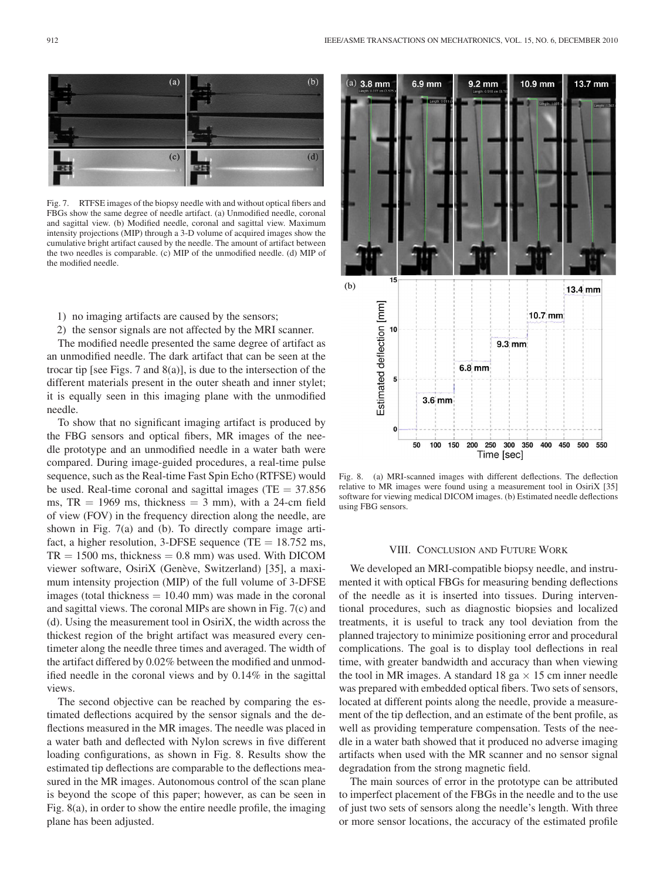

Fig. 7. RTFSE images of the biopsy needle with and without optical fibers and FBGs show the same degree of needle artifact. (a) Unmodified needle, coronal and sagittal view. (b) Modified needle, coronal and sagittal view. Maximum intensity projections (MIP) through a 3-D volume of acquired images show the cumulative bright artifact caused by the needle. The amount of artifact between the two needles is comparable. (c) MIP of the unmodified needle. (d) MIP of the modified needle.

1) no imaging artifacts are caused by the sensors;

2) the sensor signals are not affected by the MRI scanner.

The modified needle presented the same degree of artifact as an unmodified needle. The dark artifact that can be seen at the trocar tip [see Figs. 7 and 8(a)], is due to the intersection of the different materials present in the outer sheath and inner stylet; it is equally seen in this imaging plane with the unmodified needle.

To show that no significant imaging artifact is produced by the FBG sensors and optical fibers, MR images of the needle prototype and an unmodified needle in a water bath were compared. During image-guided procedures, a real-time pulse sequence, such as the Real-time Fast Spin Echo (RTFSE) would be used. Real-time coronal and sagittal images (TE  $=$  37.856 ms,  $TR = 1969$  ms, thickness = 3 mm), with a 24-cm field of view (FOV) in the frequency direction along the needle, are shown in Fig. 7(a) and (b). To directly compare image artifact, a higher resolution, 3-DFSE sequence (TE  $= 18.752$  ms,  $TR = 1500$  ms, thickness = 0.8 mm) was used. With DICOM viewer software, OsiriX (Genève, Switzerland) [35], a maximum intensity projection (MIP) of the full volume of 3-DFSE images (total thickness  $= 10.40$  mm) was made in the coronal and sagittal views. The coronal MIPs are shown in Fig. 7(c) and (d). Using the measurement tool in OsiriX, the width across the thickest region of the bright artifact was measured every centimeter along the needle three times and averaged. The width of the artifact differed by 0.02% between the modified and unmodified needle in the coronal views and by 0.14% in the sagittal views.

The second objective can be reached by comparing the estimated deflections acquired by the sensor signals and the deflections measured in the MR images. The needle was placed in a water bath and deflected with Nylon screws in five different loading configurations, as shown in Fig. 8. Results show the estimated tip deflections are comparable to the deflections measured in the MR images. Autonomous control of the scan plane is beyond the scope of this paper; however, as can be seen in Fig. 8(a), in order to show the entire needle profile, the imaging plane has been adjusted.



Fig. 8. (a) MRI-scanned images with different deflections. The deflection relative to MR images were found using a measurement tool in OsiriX [35] software for viewing medical DICOM images. (b) Estimated needle deflections using FBG sensors.

## VIII. CONCLUSION AND FUTURE WORK

We developed an MRI-compatible biopsy needle, and instrumented it with optical FBGs for measuring bending deflections of the needle as it is inserted into tissues. During interventional procedures, such as diagnostic biopsies and localized treatments, it is useful to track any tool deviation from the planned trajectory to minimize positioning error and procedural complications. The goal is to display tool deflections in real time, with greater bandwidth and accuracy than when viewing the tool in MR images. A standard 18 ga  $\times$  15 cm inner needle was prepared with embedded optical fibers. Two sets of sensors, located at different points along the needle, provide a measurement of the tip deflection, and an estimate of the bent profile, as well as providing temperature compensation. Tests of the needle in a water bath showed that it produced no adverse imaging artifacts when used with the MR scanner and no sensor signal degradation from the strong magnetic field.

The main sources of error in the prototype can be attributed to imperfect placement of the FBGs in the needle and to the use of just two sets of sensors along the needle's length. With three or more sensor locations, the accuracy of the estimated profile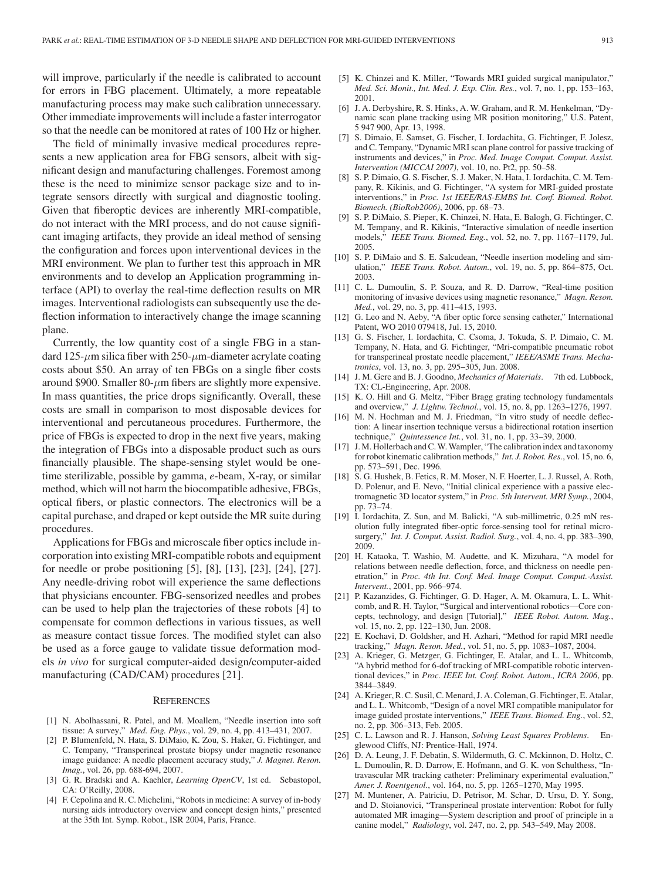will improve, particularly if the needle is calibrated to account for errors in FBG placement. Ultimately, a more repeatable manufacturing process may make such calibration unnecessary. Other immediate improvements will include a faster interrogator so that the needle can be monitored at rates of 100 Hz or higher.

The field of minimally invasive medical procedures represents a new application area for FBG sensors, albeit with significant design and manufacturing challenges. Foremost among these is the need to minimize sensor package size and to integrate sensors directly with surgical and diagnostic tooling. Given that fiberoptic devices are inherently MRI-compatible, do not interact with the MRI process, and do not cause significant imaging artifacts, they provide an ideal method of sensing the configuration and forces upon interventional devices in the MRI environment. We plan to further test this approach in MR environments and to develop an Application programming interface (API) to overlay the real-time deflection results on MR images. Interventional radiologists can subsequently use the deflection information to interactively change the image scanning plane.

Currently, the low quantity cost of a single FBG in a standard 125- $\mu$ m silica fiber with 250- $\mu$ m-diameter acrylate coating costs about \$50. An array of ten FBGs on a single fiber costs around \$900. Smaller 80- $\mu$ m fibers are slightly more expensive. In mass quantities, the price drops significantly. Overall, these costs are small in comparison to most disposable devices for interventional and percutaneous procedures. Furthermore, the price of FBGs is expected to drop in the next five years, making the integration of FBGs into a disposable product such as ours financially plausible. The shape-sensing stylet would be onetime sterilizable, possible by gamma, *e*-beam, X-ray, or similar method, which will not harm the biocompatible adhesive, FBGs, optical fibers, or plastic connectors. The electronics will be a capital purchase, and draped or kept outside the MR suite during procedures.

Applications for FBGs and microscale fiber optics include incorporation into existing MRI-compatible robots and equipment for needle or probe positioning [5], [8], [13], [23], [24], [27]. Any needle-driving robot will experience the same deflections that physicians encounter. FBG-sensorized needles and probes can be used to help plan the trajectories of these robots [4] to compensate for common deflections in various tissues, as well as measure contact tissue forces. The modified stylet can also be used as a force gauge to validate tissue deformation models *in vivo* for surgical computer-aided design/computer-aided manufacturing (CAD/CAM) procedures [21].

#### **REFERENCES**

- [1] N. Abolhassani, R. Patel, and M. Moallem, "Needle insertion into soft tissue: A survey," *Med. Eng. Phys.*, vol. 29, no. 4, pp. 413–431, 2007.
- [2] P. Blumenfeld, N. Hata, S. DiMaio, K. Zou, S. Haker, G. Fichtinger, and C. Tempany, "Transperineal prostate biopsy under magnetic resonance image guidance: A needle placement accuracy study," *J. Magnet. Reson. Imag.*, vol. 26, pp. 688-694, 2007.
- [3] G. R. Bradski and A. Kaehler, *Learning OpenCV*, 1st ed. Sebastopol, CA: O'Reilly, 2008.
- [4] F. Cepolina and R. C. Michelini, "Robots in medicine: A survey of in-body nursing aids introductory overview and concept design hints," presented at the 35th Int. Symp. Robot., ISR 2004, Paris, France.
- [5] K. Chinzei and K. Miller, "Towards MRI guided surgical manipulator," *Med. Sci. Monit., Int. Med. J. Exp. Clin. Res.*, vol. 7, no. 1, pp. 153–163, 2001.
- [6] J. A. Derbyshire, R. S. Hinks, A. W. Graham, and R. M. Henkelman, "Dynamic scan plane tracking using MR position monitoring," U.S. Patent, 5 947 900, Apr. 13, 1998.
- [7] S. Dimaio, E. Samset, G. Fischer, I. Iordachita, G. Fichtinger, F. Jolesz, and C. Tempany, "Dynamic MRI scan plane control for passive tracking of instruments and devices," in *Proc. Med. Image Comput. Comput. Assist. Intervention (MICCAI 2007)*, vol. 10, no. Pt2, pp. 50–58.
- [8] S. P. Dimaio, G. S. Fischer, S. J. Maker, N. Hata, I. Iordachita, C. M. Tempany, R. Kikinis, and G. Fichtinger, "A system for MRI-guided prostate interventions," in *Proc. 1st IEEE/RAS-EMBS Int. Conf. Biomed. Robot. Biomech. (BioRob2006)*, 2006, pp. 68–73.
- [9] S. P. DiMaio, S. Pieper, K. Chinzei, N. Hata, E. Balogh, G. Fichtinger, C. M. Tempany, and R. Kikinis, "Interactive simulation of needle insertion models," *IEEE Trans. Biomed. Eng.*, vol. 52, no. 7, pp. 1167–1179, Jul. 2005.
- [10] S. P. DiMaio and S. E. Salcudean, "Needle insertion modeling and simulation," *IEEE Trans. Robot. Autom.*, vol. 19, no. 5, pp. 864–875, Oct. 2003.
- [11] C. L. Dumoulin, S. P. Souza, and R. D. Darrow, "Real-time position monitoring of invasive devices using magnetic resonance," *Magn. Reson. Med.*, vol. 29, no. 3, pp. 411–415, 1993.
- [12] G. Leo and N. Aeby, "A fiber optic force sensing catheter," International Patent, WO 2010 079418, Jul. 15, 2010.
- [13] G. S. Fischer, I. Iordachita, C. Csoma, J. Tokuda, S. P. Dimaio, C. M. Tempany, N. Hata, and G. Fichtinger, "Mri-compatible pneumatic robot for transperineal prostate needle placement," *IEEE/ASME Trans. Mechatronics*, vol. 13, no. 3, pp. 295–305, Jun. 2008.
- [14] J. M. Gere and B. J. Goodno, *Mechanics of Materials*. 7th ed. Lubbock, TX: CL-Engineering, Apr. 2008.
- [15] K. O. Hill and G. Meltz, "Fiber Bragg grating technology fundamentals and overview," *J. Lightw. Technol.*, vol. 15, no. 8, pp. 1263–1276, 1997.
- [16] M. N. Hochman and M. J. Friedman, "In vitro study of needle deflection: A linear insertion technique versus a bidirectional rotation insertion technique," *Quintessence Int.*, vol. 31, no. 1, pp. 33–39, 2000.
- [17] J. M. Hollerbach and C.W.Wampler, "The calibration index and taxonomy for robot kinematic calibration methods," *Int. J. Robot. Res.*, vol. 15, no. 6, pp. 573–591, Dec. 1996.
- [18] S. G. Hushek, B. Fetics, R. M. Moser, N. F. Hoerter, L. J. Russel, A. Roth, D. Polenur, and E. Nevo, "Initial clinical experience with a passive electromagnetic 3D locator system," in *Proc. 5th Intervent. MRI Symp.*, 2004, pp. 73–74.
- [19] I. Iordachita, Z. Sun, and M. Balicki, "A sub-millimetric, 0.25 mN resolution fully integrated fiber-optic force-sensing tool for retinal microsurgery," *Int. J. Comput. Assist. Radiol. Surg.*, vol. 4, no. 4, pp. 383–390, 2009.
- [20] H. Kataoka, T. Washio, M. Audette, and K. Mizuhara, "A model for relations between needle deflection, force, and thickness on needle penetration," in *Proc. 4th Int. Conf. Med. Image Comput. Comput.-Assist. Intervent.*, 2001, pp. 966–974.
- [21] P. Kazanzides, G. Fichtinger, G. D. Hager, A. M. Okamura, L. L. Whitcomb, and R. H. Taylor, "Surgical and interventional robotics—Core concepts, technology, and design [Tutorial]," *IEEE Robot. Autom. Mag.*, vol. 15, no. 2, pp. 122–130, Jun. 2008.
- [22] E. Kochavi, D. Goldsher, and H. Azhari, "Method for rapid MRI needle tracking," *Magn. Reson. Med.*, vol. 51, no. 5, pp. 1083–1087, 2004.
- [23] A. Krieger, G. Metzger, G. Fichtinger, E. Atalar, and L. L. Whitcomb, "A hybrid method for 6-dof tracking of MRI-compatible robotic interventional devices," in *Proc. IEEE Int. Conf. Robot. Autom., ICRA 2006*, pp. 3844–3849.
- [24] A. Krieger, R. C. Susil, C. Menard, J. A. Coleman, G. Fichtinger, E. Atalar, and L. L. Whitcomb, "Design of a novel MRI compatible manipulator for image guided prostate interventions," *IEEE Trans. Biomed. Eng.*, vol. 52, no. 2, pp. 306–313, Feb. 2005.
- [25] C. L. Lawson and R. J. Hanson, *Solving Least Squares Problems*. Englewood Cliffs, NJ: Prentice-Hall, 1974.
- [26] D. A. Leung, J. F. Debatin, S. Wildermuth, G. C. Mckinnon, D. Holtz, C. L. Dumoulin, R. D. Darrow, E. Hofmann, and G. K. von Schulthess, "Intravascular MR tracking catheter: Preliminary experimental evaluation," *Amer. J. Roentgenol.*, vol. 164, no. 5, pp. 1265–1270, May 1995.
- [27] M. Muntener, A. Patriciu, D. Petrisor, M. Schar, D. Ursu, D. Y. Song, and D. Stoianovici, "Transperineal prostate intervention: Robot for fully automated MR imaging—System description and proof of principle in a canine model," *Radiology*, vol. 247, no. 2, pp. 543–549, May 2008.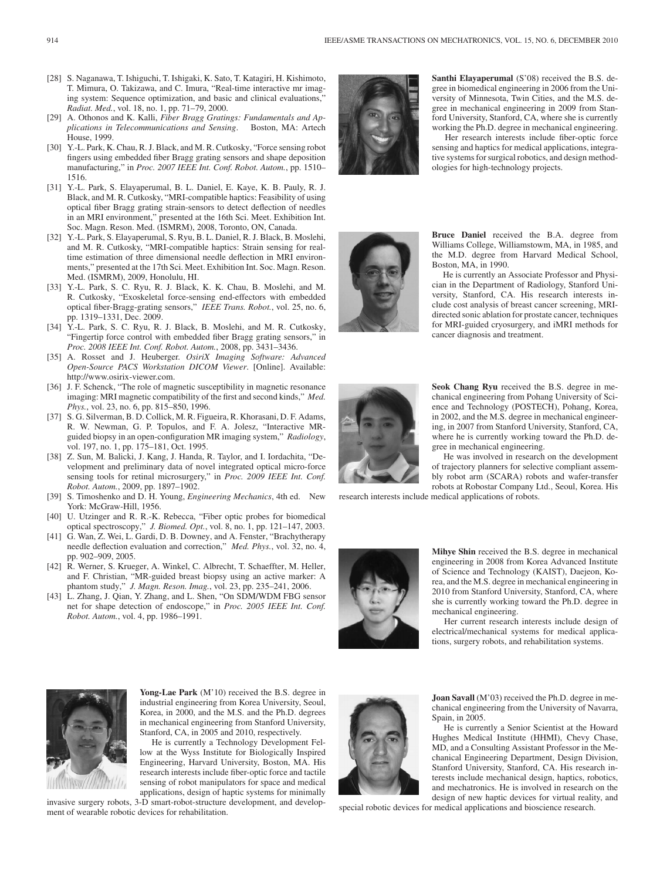- [28] S. Naganawa, T. Ishiguchi, T. Ishigaki, K. Sato, T. Katagiri, H. Kishimoto, T. Mimura, O. Takizawa, and C. Imura, "Real-time interactive mr imaging system: Sequence optimization, and basic and clinical evaluations,' *Radiat. Med.*, vol. 18, no. 1, pp. 71–79, 2000.
- [29] A. Othonos and K. Kalli, *Fiber Bragg Gratings: Fundamentals and Applications in Telecommunications and Sensing*. Boston, MA: Artech House, 1999.
- [30] Y.-L. Park, K. Chau, R. J. Black, and M. R. Cutkosky, "Force sensing robot fingers using embedded fiber Bragg grating sensors and shape deposition manufacturing," in *Proc. 2007 IEEE Int. Conf. Robot. Autom.*, pp. 1510– 1516.
- [31] Y.-L. Park, S. Elayaperumal, B. L. Daniel, E. Kaye, K. B. Pauly, R. J. Black, and M. R. Cutkosky, "MRI-compatible haptics: Feasibility of using optical fiber Bragg grating strain-sensors to detect deflection of needles in an MRI environment," presented at the 16th Sci. Meet. Exhibition Int. Soc. Magn. Reson. Med. (ISMRM), 2008, Toronto, ON, Canada.
- [32] Y.-L. Park, S. Elayaperumal, S. Ryu, B. L. Daniel, R. J. Black, B. Moslehi, and M. R. Cutkosky, "MRI-compatible haptics: Strain sensing for realtime estimation of three dimensional needle deflection in MRI environments," presented at the 17th Sci. Meet. Exhibition Int. Soc. Magn. Reson. Med. (ISMRM), 2009, Honolulu, HI.
- [33] Y.-L. Park, S. C. Ryu, R. J. Black, K. K. Chau, B. Moslehi, and M. R. Cutkosky, "Exoskeletal force-sensing end-effectors with embedded optical fiber-Bragg-grating sensors," *IEEE Trans. Robot.*, vol. 25, no. 6, pp. 1319–1331, Dec. 2009.
- [34] Y.-L. Park, S. C. Ryu, R. J. Black, B. Moslehi, and M. R. Cutkosky, "Fingertip force control with embedded fiber Bragg grating sensors," in *Proc. 2008 IEEE Int. Conf. Robot. Autom.*, 2008, pp. 3431–3436.
- [35] A. Rosset and J. Heuberger. *OsiriX Imaging Software: Advanced Open-Source PACS Workstation DICOM Viewer*. [Online]. Available: http://www.osirix-viewer.com.
- [36] J. F. Schenck, "The role of magnetic susceptibility in magnetic resonance imaging: MRI magnetic compatibility of the first and second kinds," *Med. Phys.*, vol. 23, no. 6, pp. 815–850, 1996.
- [37] S. G. Silverman, B. D. Collick, M. R. Figueira, R. Khorasani, D. F. Adams, R. W. Newman, G. P. Topulos, and F. A. Jolesz, "Interactive MRguided biopsy in an open-configuration MR imaging system," *Radiology*, vol. 197, no. 1, pp. 175–181, Oct. 1995.
- [38] Z. Sun, M. Balicki, J. Kang, J. Handa, R. Taylor, and I. Iordachita, "Development and preliminary data of novel integrated optical micro-force sensing tools for retinal microsurgery," in *Proc. 2009 IEEE Int. Conf. Robot. Autom.*, 2009, pp. 1897–1902.
- [39] S. Timoshenko and D. H. Young, *Engineering Mechanics*, 4th ed. New York: McGraw-Hill, 1956.
- [40] U. Utzinger and R. R.-K. Rebecca, "Fiber optic probes for biomedical optical spectroscopy," *J. Biomed. Opt.*, vol. 8, no. 1, pp. 121–147, 2003.
- [41] G. Wan, Z. Wei, L. Gardi, D. B. Downey, and A. Fenster, "Brachytherapy needle deflection evaluation and correction," *Med. Phys.*, vol. 32, no. 4, pp. 902–909, 2005.
- [42] R. Werner, S. Krueger, A. Winkel, C. Albrecht, T. Schaeffter, M. Heller, and F. Christian, "MR-guided breast biopsy using an active marker: A phantom study," *J. Magn. Reson. Imag.*, vol. 23, pp. 235–241, 2006.
- [43] L. Zhang, J. Qian, Y. Zhang, and L. Shen, "On SDM/WDM FBG sensor net for shape detection of endoscope," in *Proc. 2005 IEEE Int. Conf. Robot. Autom.*, vol. 4, pp. 1986–1991.



**Santhi Elayaperumal** (S'08) received the B.S. degree in biomedical engineering in 2006 from the University of Minnesota, Twin Cities, and the M.S. degree in mechanical engineering in 2009 from Stanford University, Stanford, CA, where she is currently working the Ph.D. degree in mechanical engineering.

Her research interests include fiber-optic force sensing and haptics for medical applications, integrative systems for surgical robotics, and design methodologies for high-technology projects.



**Bruce Daniel** received the B.A. degree from Williams College, Williamstowm, MA, in 1985, and the M.D. degree from Harvard Medical School, Boston, MA, in 1990.

He is currently an Associate Professor and Physician in the Department of Radiology, Stanford University, Stanford, CA. His research interests include cost analysis of breast cancer screening, MRIdirected sonic ablation for prostate cancer, techniques for MRI-guided cryosurgery, and iMRI methods for cancer diagnosis and treatment.



**Seok Chang Ryu** received the B.S. degree in mechanical engineering from Pohang University of Science and Technology (POSTECH), Pohang, Korea, in 2002, and the M.S. degree in mechanical engineering, in 2007 from Stanford University, Stanford, CA, where he is currently working toward the Ph.D. degree in mechanical engineering.

He was involved in research on the development of trajectory planners for selective compliant assembly robot arm (SCARA) robots and wafer-transfer robots at Robostar Company Ltd., Seoul, Korea. His

research interests include medical applications of robots.



**Mihye Shin** received the B.S. degree in mechanical engineering in 2008 from Korea Advanced Institute of Science and Technology (KAIST), Daejeon, Korea, and the M.S. degree in mechanical engineering in 2010 from Stanford University, Stanford, CA, where she is currently working toward the Ph.D. degree in mechanical engineering.

Her current research interests include design of electrical/mechanical systems for medical applications, surgery robots, and rehabilitation systems.



**Yong-Lae Park** (M'10) received the B.S. degree in industrial engineering from Korea University, Seoul, Korea, in 2000, and the M.S. and the Ph.D. degrees in mechanical engineering from Stanford University, Stanford, CA, in 2005 and 2010, respectively.

He is currently a Technology Development Fellow at the Wyss Institute for Biologically Inspired Engineering, Harvard University, Boston, MA. His research interests include fiber-optic force and tactile sensing of robot manipulators for space and medical applications, design of haptic systems for minimally

invasive surgery robots, 3-D smart-robot-structure development, and development of wearable robotic devices for rehabilitation.



**Joan Savall** (M'03) received the Ph.D. degree in mechanical engineering from the University of Navarra, Spain, in 2005.

He is currently a Senior Scientist at the Howard Hughes Medical Institute (HHMI), Chevy Chase, MD, and a Consulting Assistant Professor in the Mechanical Engineering Department, Design Division, Stanford University, Stanford, CA. His research interests include mechanical design, haptics, robotics, and mechatronics. He is involved in research on the design of new haptic devices for virtual reality, and special robotic devices for medical applications and bioscience research.